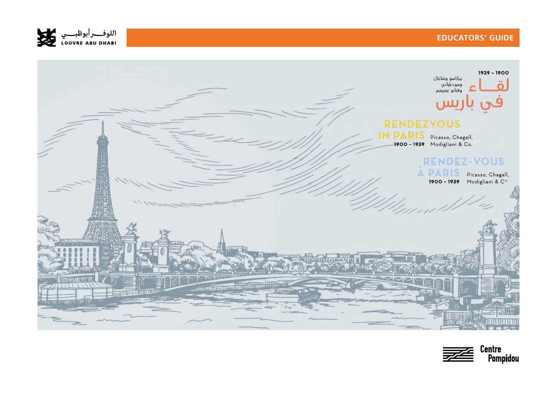



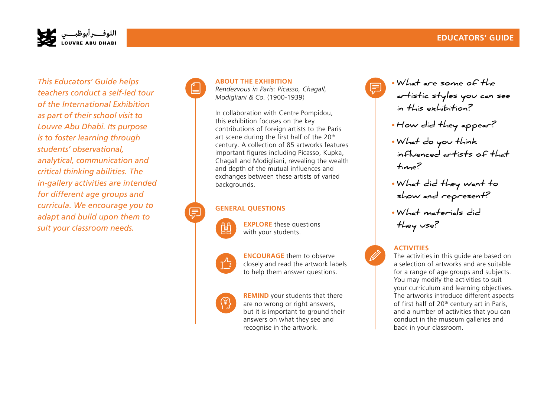## **EDUCATORS' GUIDE**



*This Educators' Guide helps teachers conduct a self-led tour of the International Exhibition as part of their school visit to Louvre Abu Dhabi. Its purpose is to foster learning through students' observational, analytical, communication and critical thinking abilities. The in-gallery activities are intended for different age groups and curricula. We encourage you to adapt and build upon them to suit your classroom needs.*



#### **ABOUT THE EXHIBITION**

*Rendezvous in Paris: Picasso, Chagall, Modigliani & Co.* (1900-1939)

In collaboration with Centre Pompidou, this exhibition focuses on the key contributions of foreign artists to the Paris art scene during the first half of the 20<sup>th</sup> century. A collection of 85 artworks features important figures including Picasso, Kupka, Chagall and Modigliani, revealing the wealth and depth of the mutual influences and exchanges between these artists of varied backgrounds.

#### **GENERAL QUESTIONS**



**EXPLORE** these questions with your students.



**ENCOURAGE** them to observe closely and read the artwork labels to help them answer questions.



**REMIND** your students that there are no wrong or right answers, but it is important to ground their answers on what they see and recognise in the artwork.

• **What are some of the artistic styles you can see in this exhibition?** 

- **How did they appear?**
- **What do you think influenced artists of that time?**
- **What did they want to show and represent?**
- **What materials did they use?**

#### **ACTIVITIES**

The activities in this guide are based on a selection of artworks and are suitable for a range of age groups and subjects. You may modify the activities to suit your curriculum and learning objectives. The artworks introduce different aspects of first half of 20<sup>th</sup> century art in Paris, and a number of activities that you can conduct in the museum galleries and back in your classroom.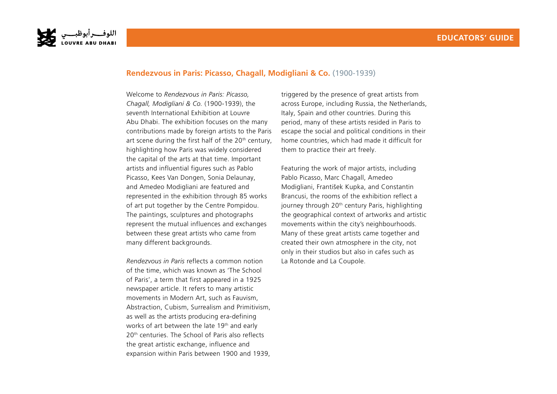

## **Rendezvous in Paris: Picasso, Chagall, Modigliani & Co.** (1900-1939)

Welcome to *Rendezvous in Paris: Picasso, Chagall, Modigliani & Co.* (1900-1939), the seventh International Exhibition at Louvre Abu Dhabi. The exhibition focuses on the many contributions made by foreign artists to the Paris art scene during the first half of the  $20<sup>th</sup>$  century, highlighting how Paris was widely considered the capital of the arts at that time. Important artists and influential figures such as Pablo Picasso, Kees Van Dongen, Sonia Delaunay, and Amedeo Modigliani are featured and represented in the exhibition through 85 works of art put together by the Centre Pompidou. The paintings, sculptures and photographs represent the mutual influences and exchanges between these great artists who came from many different backgrounds.

*Rendezvous in Paris* reflects a common notion of the time, which was known as 'The School of Paris', a term that first appeared in a 1925 newspaper article. It refers to many artistic movements in Modern Art, such as Fauvism, Abstraction, Cubism, Surrealism and Primitivism, as well as the artists producing era-defining works of art between the late 19<sup>th</sup> and early 20<sup>th</sup> centuries. The School of Paris also reflects the great artistic exchange, influence and expansion within Paris between 1900 and 1939,

triggered by the presence of great artists from across Europe, including Russia, the Netherlands, Italy, Spain and other countries. During this period, many of these artists resided in Paris to escape the social and political conditions in their home countries, which had made it difficult for them to practice their art freely.

Featuring the work of major artists, including Pablo Picasso, Marc Chagall, Amedeo Modigliani, František Kupka, and Constantin Brancusi, the rooms of the exhibition reflect a journey through 20<sup>th</sup> century Paris, highlighting the geographical context of artworks and artistic movements within the city's neighbourhoods. Many of these great artists came together and created their own atmosphere in the city, not only in their studios but also in cafes such as La Rotonde and La Coupole.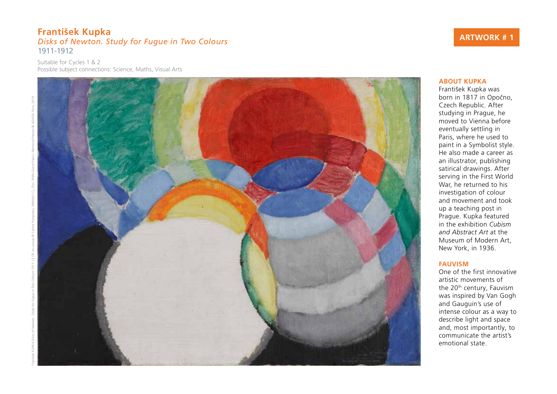## **František Kupka**  *Disks of Newton. Study for Fugue in Two Colours*  1911-1912

Suitable for Cycles 1 & 2 Possible subject connections: Science, Maths, Visual Arts



# **ARTWORK # 1**

#### **ABOUT KUPKA**

František Kupka was born in 1817 in Opočno, Czech Republic. After studying in Prague, he moved to Vienna before eventually settling in Paris, where he used to paint in a Symbolist style. He also made a career as an illustrator, publishing satirical drawings. After serving in the First World War, he returned to his investigation of colour and movement and took up a teaching post in Prague. Kupka featured in the exhibition *Cubism and Abstract Art* at the Museum of Modern Art, New York, in 1936.

#### **FAUVISM**

One of the first innovative artistic movements of the 20<sup>th</sup> century, Fauvism was inspired by Van Gogh and Gauguin's use of intense colour as a way to describe light and space and, most importantly, to communicate the artist's emotional state.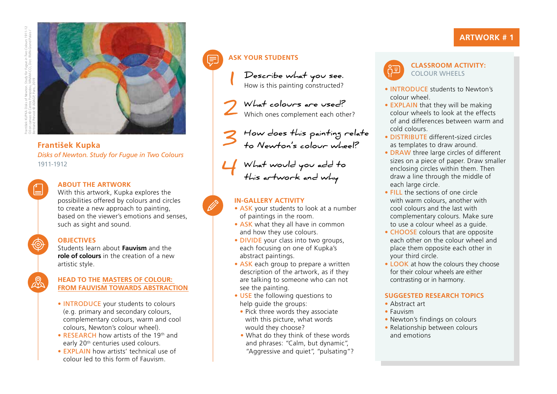

## **František Kupka**  *Disks of Newton. Study for Fugue in Two Colours*  1911-1912

## **ABOUT THE ARTWORK**

With this artwork, Kupka explores the possibilities offered by colours and circles to create a new approach to painting, based on the viewer's emotions and senses, such as sight and sound.

## **OBJECTIVES**

Students learn about **Fauvism** and the **role of colours** in the creation of a new artistic style.

#### **HEAD TO THE MASTERS OF COLOUR: FROM FAUVISM TOWARDS ABSTRACTION**

- INTRODUCE your students to colours (e.g. primary and secondary colours, complementary colours, warm and cool colours, Newton's colour wheel).
- RESEARCH how artists of the 19th and early 20<sup>th</sup> centuries used colours.
- EXPLAIN how artists' technical use of colour led to this form of Fauvism.

# **ASK YOUR STUDENTS**

**1**

**Describe what you see.**  How is this painting constructed?

**What colours are used?**  Which ones complement each other? **2**

**How does this painting relate to Newton's colour wheel? 3**

**What would you add to**  What would you add this artwork and why

## **IN-GALLERY ACTIVITY**

- ASK your students to look at a number of paintings in the room.
- ASK what they all have in common and how they use colours.
- DIVIDE your class into two groups, each focusing on one of Kupka's abstract paintings.
- ASK each group to prepare a written description of the artwork, as if they are talking to someone who can not see the painting.
- USE the following questions to help guide the groups:
- Pick three words they associate with this picture, what words would they choose?
- What do they think of these words and phrases: "Calm, but dynamic", "Aggressive and quiet", "pulsating"?

• INTRODUCE students to Newton's colour wheel.

**CLASSROOM ACTIVITY:**  COLOUR WHEELS

- EXPLAIN that they will be making colour wheels to look at the effects of and differences between warm and cold colours.
- DISTRIBUTE different-sized circles as templates to draw around.
- DRAW three large circles of different sizes on a piece of paper. Draw smaller enclosing circles within them. Then draw a line through the middle of each large circle.
- FILL the sections of one circle with warm colours, another with cool colours and the last with complementary colours. Make sure to use a colour wheel as a guide.
- CHOOSE colours that are opposite each other on the colour wheel and place them opposite each other in your third circle.
- **LOOK** at how the colours they choose for their colour wheels are either contrasting or in harmony.

## **SUGGESTED RESEARCH TOPICS**

- Abstract art
- Fauvism
- Newton's findings on colours
- Relationship between colours and emotions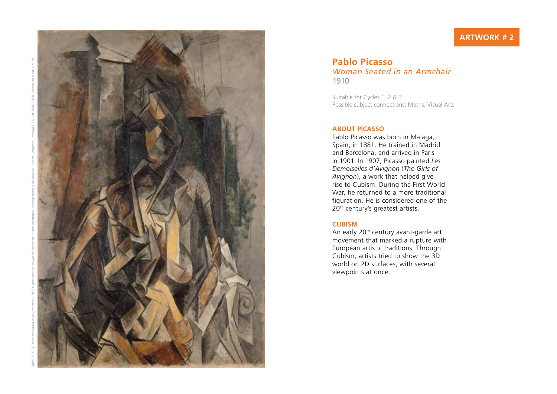

## **Pablo Picasso**  *Woman Seated in an Armchair*  1910

Suitable for Cycles 1, 2 & 3 Possible subject connections: Maths, Visual Arts

#### **ABOUT PICASSO**

Pablo Picasso was born in Malaga, Spain, in 1881. He trained in Madrid and Barcelona, and arrived in Paris in 1901. In 1907, Picasso painted *Les Demoiselles d'Avignon*  (*The Girls of Avignon*), a work that helped give rise to Cubism. During the First World War, he returned to a more traditional figuration. He is considered one of the 20<sup>th</sup> century's greatest artists.

#### **CUBISM**

An early 20<sup>th</sup> century avant-garde art movement that marked a rupture with European artistic traditions. Through Cubism, artists tried to show the 3D world on 2D surfaces, with several viewpoints at once.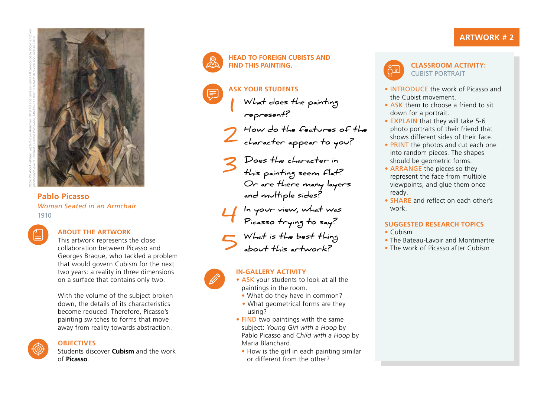# **ARTWORK # 2**



Pablo PICASSO *Woman Seated in an Armchair* 1919 Oil and sand on canvas © Service de la documentation

Pablo Picasso *and multiple sides? Woman Seated in an Armchair* 1910



## **ABOUT THE ARTWORK**

This artwork represents the close collaboration between Picasso and Georges Braque, who tackled a problem that would govern Cubism for the next two years: a reality in three dimensions on a surface that contains only two.

With the volume of the subject broken down, the details of its characteristics become reduced. Therefore, Picasso's painting switches to forms that move away from reality towards abstraction.

## **OBJECTIVES**

Students discover **Cubism** and the work of **Picasso**.

## **HEAD TO FOREIGN CUBISTS AND FIND THIS PAINTING.**

## **ASK YOUR STUDENTS**

- **What does the painting represent? 1**
- **How do the features of the character appear to you? 2**
- **Does the character in**  S Does the character in<br>this painting seem flat? **Or are there many layers** 
	- **In your view, what was**
- **Picasso trying to say? 4**
	- **What is the best thing**
- sout this artwork?

## **IN-GALLERY ACTIVITY**

- 
- ASK your students to look at all the paintings in the room.
- What do they have in common?
- What geometrical forms are they using?
- FIND two paintings with the same subject: *Young Girl with a Hoop* by Pablo Picasso and *Child with a Hoop* by Maria Blanchard.
	- How is the girl in each painting similar or different from the other?



#### **CLASSROOM ACTIVITY:**  CUBIST PORTRAIT

- INTRODUCE the work of Picasso and the Cubist movement.
- ASK them to choose a friend to sit down for a portrait.
- EXPLAIN that they will take 5-6 photo portraits of their friend that shows different sides of their face.
- PRINT the photos and cut each one into random pieces. The shapes should be geometric forms.
- ARRANGE the pieces so they represent the face from multiple viewpoints, and glue them once ready.
- SHARE and reflect on each other's work.

## **SUGGESTED RESEARCH TOPICS**

- Cubism
- The Bateau-Lavoir and Montmartre
- The work of Picasso after Cubism

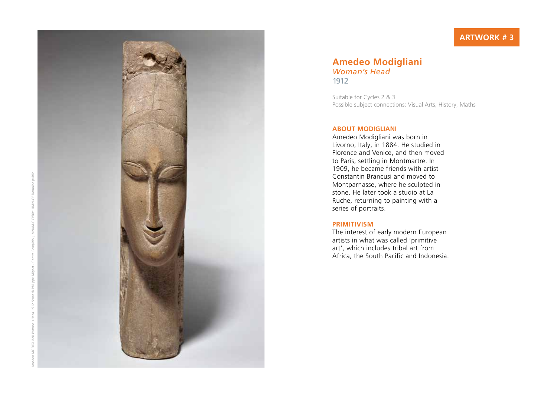# **ARTWORK # 3**



## **Amedeo Modigliani**  *Woman's Head*  1912

Suitable for Cycles 2 & 3 Possible subject connections: Visual Arts, History, Maths

#### **ABOUT MODIGLIANI**

Amedeo Modigliani was born in Livorno, Italy, in 1884. He studied in Florence and Venice, and then moved to Paris, settling in Montmartre. In 1909, he became friends with artist Constantin Brancusi and moved to Montparnasse, where he sculpted in stone. He later took a studio at La Ruche, returning to painting with a series of portraits.

#### **PRIMITIVISM**

The interest of early modern European artists in what was called 'primitive art', which includes tribal art from Africa, the South Pacific and Indonesia.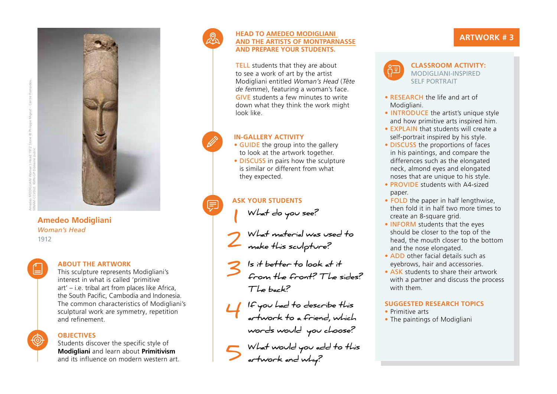

## **Amedeo Modigliani** *Woman's Head* 1912

## **ABOUT THE ARTWORK**

This sculpture represents Modigliani's interest in what is called 'primitive art' – i.e. tribal art from places like Africa, the South Pacific, Cambodia and Indonesia. The common characteristics of Modigliani's sculptural work are symmetry, repetition and refinement.

## **OBJECTIVES**

Students discover the specific style of **Modigliani** and learn about **Primitivism** and its influence on modern western art.



 $\equiv$ 

## **HEAD TO AMEDEO MODIGLIANI AND THE ARTISTS OF MONTPARNASSE AND PREPARE YOUR STUDENTS.**

TELL students that they are about to see a work of art by the artist Modigliani entitled *Woman's Head* (*Tête de femme*), featuring a woman's face. GIVE students a few minutes to write down what they think the work might look like.

## **IN-GALLERY ACTIVITY**

- GUIDE the group into the gallery to look at the artwork together.
- DISCUSS in pairs how the sculpture is similar or different from what they expected.

# **ASK YOUR STUDENTS**

**What do you see?** 

- **What material was used to make this sculpture? 2 1**
- **Is it better to look at it**
- **from the front? The sides? The back? 3**
- **If you had to describe this artwork to a friend, which 4 words would you choose?**
- **What would you add to this artwork and why? 5**

# **ARTWORK # 3**



#### **CLASSROOM ACTIVITY:**  MODIGLIANI-INSPIRED SELF PORTRAIT

- RESEARCH the life and art of Modigliani.
- INTRODUCE the artist's unique style and how primitive arts inspired him.
- EXPLAIN that students will create a self-portrait inspired by his style.
- DISCUSS the proportions of faces in his paintings, and compare the differences such as the elongated neck, almond eyes and elongated noses that are unique to his style.
- PROVIDE students with A4-sized paper.
- FOLD the paper in half lengthwise, then fold it in half two more times to create an 8-square grid.
- INFORM students that the eyes should be closer to the top of the head, the mouth closer to the bottom and the nose elongated.
- ADD other facial details such as eyebrows, hair and accessories.
- ASK students to share their artwork with a partner and discuss the process with them.

## **SUGGESTED RESEARCH TOPICS**

- Primitive arts
- The paintings of Modigliani